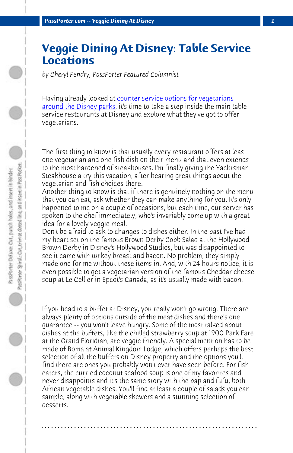*PassPorter.com -- Veggie Dining At Disney 1*

## **Veggie Dining At Disney: Table Service Locations**

*by Cheryl Pendry, PassPorter Featured Columnist*

Having already looked at counter service options for vegetarians around the Disney parks, it's time to take a step inside the main table service restaurants at Disney and explore what they've got to offer vegetarians.

The first thing to know is that usually every restaurant offers at least one vegetarian and one fish dish on their menu and that even extends to the most hardened of steakhouses. I'm finally giving the Yachtsman Steakhouse a try this vacation, after hearing great things about the vegetarian and fish choices there.

Another thing to know is that if there is genuinely nothing on the menu that you can eat; ask whether they can make anything for you. It's only happened to me on a couple of occasions, but each time, our server has spoken to the chef immediately, who's invariably come up with a great idea for a lovely veggie meal.

Don't be afraid to ask to changes to dishes either. In the past I've had my heart set on the famous Brown Derby Cobb Salad at the Hollywood Brown Derby in Disney's Hollywood Studios, but was disappointed to see it came with turkey breast and bacon. No problem, they simply made one for me without these items in. And, with 24 hours notice, it is even possible to get a vegetarian version of the famous Cheddar cheese soup at Le Cellier in Epcot's Canada, as it's usually made with bacon.

If you head to a buffet at Disney, you really won't go wrong. There are always plenty of options outside of the meat dishes and there's one guarantee -- you won't leave hungry. Some of the most talked about dishes at the buffets, like the chilled strawberry soup at 1900 Park Fare at the Grand Floridian, are veggie friendly. A special mention has to be made of Boma at Animal Kingdom Lodge, which offers perhaps the best selection of all the buffets on Disney property and the options you'll find there are ones you probably won't ever have seen before. For fish eaters, the curried coconut seafood soup is one of my favorites and never disappoints and it's the same story with the pap and fufu, both African vegetable dishes. You'll find at least a couple of salads you can sample, along with vegetable skewers and a stunning selection of desserts.

**. . . . . . . . . . . . . . . . . . . . . . . . . . . . . . . . . . . . . . . . . . . . . . . . . . . . . . . . . . . . . . . . . .**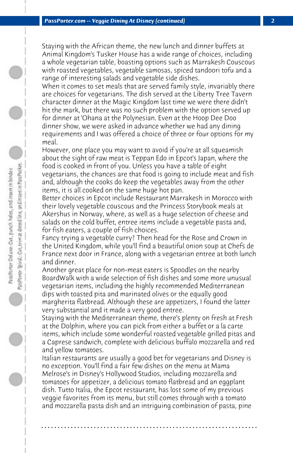Staying with the African theme, the new lunch and dinner buffets at Animal Kingdom's Tusker House has a wide range of choices, including a whole vegetarian table, boasting options such as Marrakesh Couscous with roasted vegetables, vegetable samosas, spiced tandoori tofu and a range of interesting salads and vegetable side dishes.

When it comes to set meals that are served family style, invariably there are choices for vegetarians. The dish served at the Liberty Tree Tavern character dinner at the Magic Kingdom last time we were there didn't hit the mark, but there was no such problem with the option served up for dinner at 'Ohana at the Polynesian. Even at the Hoop Dee Doo dinner show, we were asked in advance whether we had any dining requirements and I was offered a choice of three or four options for my meal.

However, one place you may want to avoid if you're at all squeamish about the sight of raw meat is Teppan Edo in Epcot's Japan, where the food is cooked in front of you. Unless you have a table of eight vegetarians, the chances are that food is going to include meat and fish and, although the cooks do keep the vegetables away from the other items, it is all cooked on the same huge hot pan.

Better choices in Epcot include Restaurant Marrakesh in Morocco with their lovely vegetable couscous and the Princess Storybook meals at Akershus in Norway, where, as well as a huge selection of cheese and salads on the cold buffet, entree items include a vegetable pasta and, for fish eaters, a couple of fish choices.

Fancy trying a vegetable curry? Then head for the Rose and Crown in the United Kingdom, while you'll find a beautiful onion soup at Chefs de France next door in France, along with a vegetarian entree at both lunch and dinner.

Another great place for non-meat eaters is Spoodles on the nearby BoardWalk with a wide selection of fish dishes and some more unusual vegetarian items, including the highly recommended Mediterranean dips with toasted pita and marinated olives or the equally good margherita flatbread. Although these are appetizers, I found the latter very substantial and it made a very good entree.

Staying with the Mediterranean theme, there's plenty on fresh at Fresh at the Dolphin, where you can pick from either a buffet or a la carte items, which include some wonderful roasted vegetable grilled pitas and a Caprese sandwich, complete with delicious buffalo mozzarella and red and yellow tomatoes.

Italian restaurants are usually a good bet for vegetarians and Disney is no exception. You'll find a fair few dishes on the menu at Mama Melrose's in Disney's Hollywood Studios, including mozzarella and tomatoes for appetizer, a delicious tomato flatbread and an eggplant dish. Tutto Italia, the Epcot restaurant, has lost some of my previous veggie favorites from its menu, but still comes through with a tomato and mozzarella pasta dish and an intriguing combination of pasta, pine

**. . . . . . . . . . . . . . . . . . . . . . . . . . . . . . . . . . . . . . . . . . . . . . . . . . . . . . . . . . . . . . . . . .**